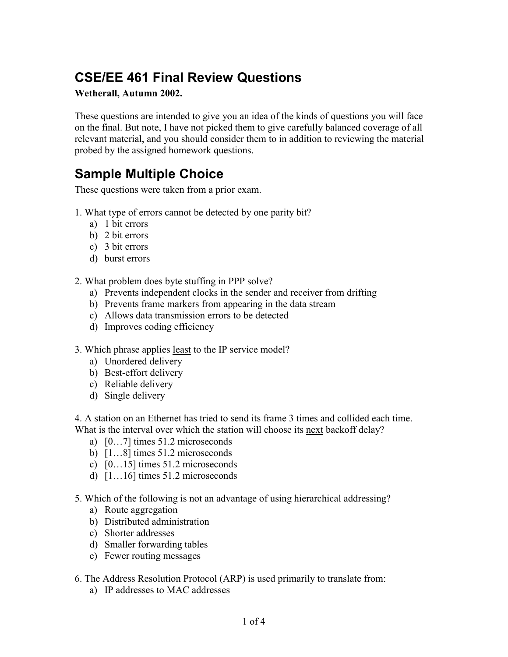## **CSE/EE 461 Final Review Questions**

## **Wetherall, Autumn 2002.**

These questions are intended to give you an idea of the kinds of questions you will face on the final. But note, I have not picked them to give carefully balanced coverage of all relevant material, and you should consider them to in addition to reviewing the material probed by the assigned homework questions.

## **Sample Multiple Choice**

These questions were taken from a prior exam.

- 1. What type of errors cannot be detected by one parity bit?
	- a) 1 bit errors
	- b) 2 bit errors
	- c) 3 bit errors
	- d) burst errors

2. What problem does byte stuffing in PPP solve?

- a) Prevents independent clocks in the sender and receiver from drifting
- b) Prevents frame markers from appearing in the data stream
- c) Allows data transmission errors to be detected
- d) Improves coding efficiency
- 3. Which phrase applies least to the IP service model?
	- a) Unordered delivery
	- b) Best-effort delivery
	- c) Reliable delivery
	- d) Single delivery

4. A station on an Ethernet has tried to send its frame 3 times and collided each time. What is the interval over which the station will choose its next backoff delay?

- a)  $[0...7]$  times 51.2 microseconds
- b)  $[1...8]$  times 51.2 microseconds
- c)  $[0...15]$  times 51.2 microseconds
- d)  $[1...16]$  times 51.2 microseconds
- 5. Which of the following is not an advantage of using hierarchical addressing?
	- a) Route aggregation
	- b) Distributed administration
	- c) Shorter addresses
	- d) Smaller forwarding tables
	- e) Fewer routing messages
- 6. The Address Resolution Protocol (ARP) is used primarily to translate from:
	- a) IP addresses to MAC addresses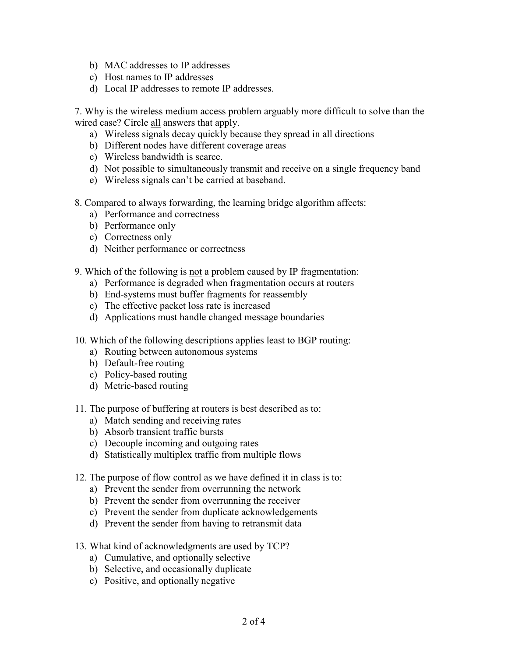- b) MAC addresses to IP addresses
- c) Host names to IP addresses
- d) Local IP addresses to remote IP addresses.

7. Why is the wireless medium access problem arguably more difficult to solve than the wired case? Circle all answers that apply.

- a) Wireless signals decay quickly because they spread in all directions
- b) Different nodes have different coverage areas
- c) Wireless bandwidth is scarce.
- d) Not possible to simultaneously transmit and receive on a single frequency band
- e) Wireless signals can't be carried at baseband.
- 8. Compared to always forwarding, the learning bridge algorithm affects:
	- a) Performance and correctness
	- b) Performance only
	- c) Correctness only
	- d) Neither performance or correctness
- 9. Which of the following is not a problem caused by IP fragmentation:
	- a) Performance is degraded when fragmentation occurs at routers
	- b) End-systems must buffer fragments for reassembly
	- c) The effective packet loss rate is increased
	- d) Applications must handle changed message boundaries
- 10. Which of the following descriptions applies least to BGP routing:
	- a) Routing between autonomous systems
	- b) Default-free routing
	- c) Policy-based routing
	- d) Metric-based routing
- 11. The purpose of buffering at routers is best described as to:
	- a) Match sending and receiving rates
	- b) Absorb transient traffic bursts
	- c) Decouple incoming and outgoing rates
	- d) Statistically multiplex traffic from multiple flows
- 12. The purpose of flow control as we have defined it in class is to:
	- a) Prevent the sender from overrunning the network
	- b) Prevent the sender from overrunning the receiver
	- c) Prevent the sender from duplicate acknowledgements
	- d) Prevent the sender from having to retransmit data
- 13. What kind of acknowledgments are used by TCP?
	- a) Cumulative, and optionally selective
	- b) Selective, and occasionally duplicate
	- c) Positive, and optionally negative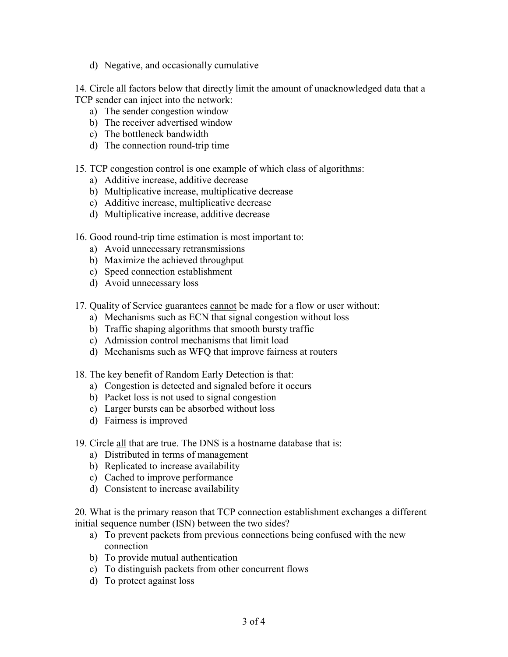d) Negative, and occasionally cumulative

14. Circle all factors below that directly limit the amount of unacknowledged data that a TCP sender can inject into the network:

- a) The sender congestion window
- b) The receiver advertised window
- c) The bottleneck bandwidth
- d) The connection round-trip time
- 15. TCP congestion control is one example of which class of algorithms:
	- a) Additive increase, additive decrease
	- b) Multiplicative increase, multiplicative decrease
	- c) Additive increase, multiplicative decrease
	- d) Multiplicative increase, additive decrease
- 16. Good round-trip time estimation is most important to:
	- a) Avoid unnecessary retransmissions
	- b) Maximize the achieved throughput
	- c) Speed connection establishment
	- d) Avoid unnecessary loss
- 17. Quality of Service guarantees cannot be made for a flow or user without:
	- a) Mechanisms such as ECN that signal congestion without loss
	- b) Traffic shaping algorithms that smooth bursty traffic
	- c) Admission control mechanisms that limit load
	- d) Mechanisms such as WFQ that improve fairness at routers
- 18. The key benefit of Random Early Detection is that:
	- a) Congestion is detected and signaled before it occurs
	- b) Packet loss is not used to signal congestion
	- c) Larger bursts can be absorbed without loss
	- d) Fairness is improved
- 19. Circle all that are true. The DNS is a hostname database that is:
	- a) Distributed in terms of management
	- b) Replicated to increase availability
	- c) Cached to improve performance
	- d) Consistent to increase availability

20. What is the primary reason that TCP connection establishment exchanges a different initial sequence number (ISN) between the two sides?

- a) To prevent packets from previous connections being confused with the new connection
- b) To provide mutual authentication
- c) To distinguish packets from other concurrent flows
- d) To protect against loss